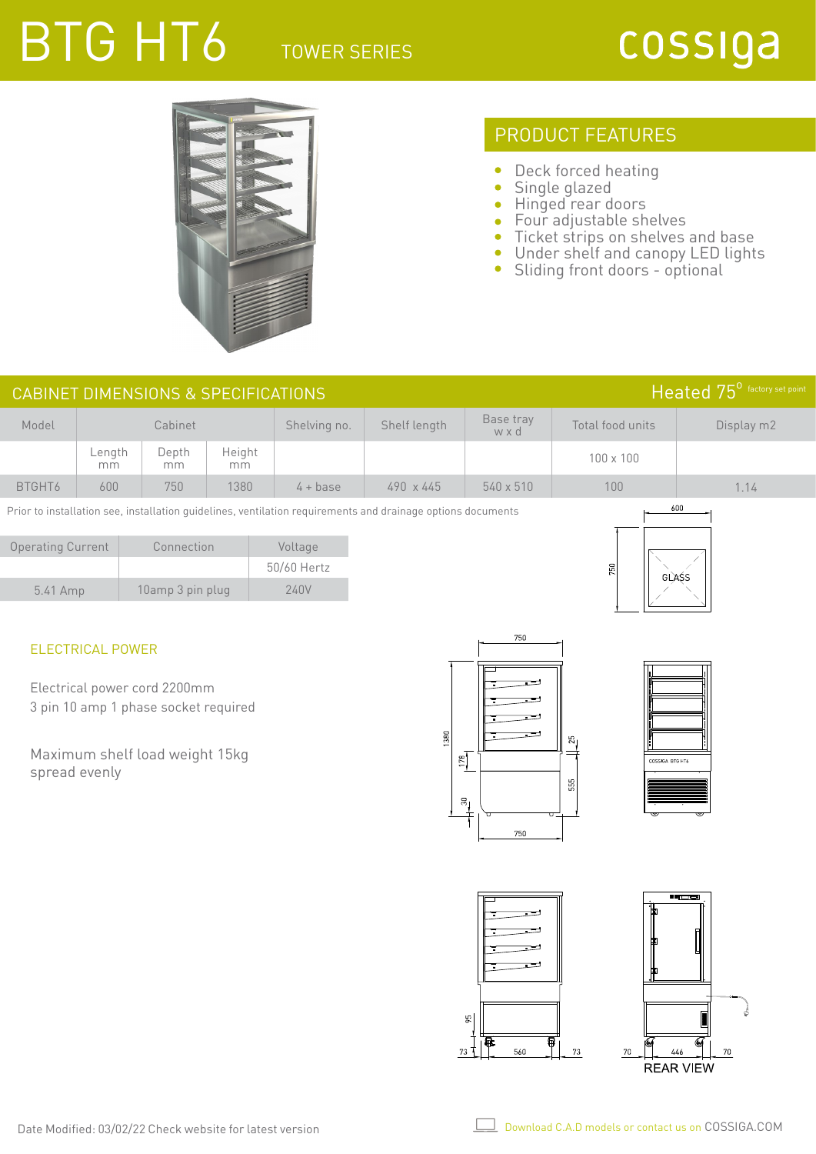# BTG HT6 TOWER SERIES



## PRODUCT FEATURES

- $\bullet$ Deck forced heating
- $\bullet$ Single glazed
- $\bullet$ Hinged rear doors
- Four adjustable shelves  $\bullet$
- Ticket strips on shelves and base
- Under shelf and canopy LED lights
- Sliding front doors optional

|                          | Heated 75 <sup>0</sup> factory set point<br><b>CABINET DIMENSIONS &amp; SPECIFICATIONS</b>                         |                                                                      |              |                        |                 |                          |                            |                            |  |
|--------------------------|--------------------------------------------------------------------------------------------------------------------|----------------------------------------------------------------------|--------------|------------------------|-----------------|--------------------------|----------------------------|----------------------------|--|
| Model                    |                                                                                                                    | Cabinet                                                              |              | Shelving no.           | Shelf length    | Base tray<br>w x d       | Total food units           | Display m2                 |  |
|                          | Length<br>mm                                                                                                       | Depth<br>mm                                                          | Height<br>mm |                        |                 |                          | 100 x 100                  |                            |  |
| BTGHT6                   | 600                                                                                                                | 750                                                                  | 1380         | $4 + base$             | 490 x 445       | 540 x 510                | 100                        | 1.14                       |  |
|                          | 600<br>Prior to installation see, installation guidelines, ventilation requirements and drainage options documents |                                                                      |              |                        |                 |                          |                            |                            |  |
| <b>Operating Current</b> |                                                                                                                    | Connection                                                           |              | Voltage<br>50/60 Hertz |                 |                          | 750                        |                            |  |
| 5.41 Amp                 |                                                                                                                    | 10amp 3 pin plug                                                     |              | <b>240V</b>            |                 |                          | GLASS                      |                            |  |
|                          | <b>ELECTRICAL POWER</b>                                                                                            |                                                                      |              |                        |                 | 750                      |                            |                            |  |
|                          |                                                                                                                    | Electrical power cord 2200mm<br>3 pin 10 amp 1 phase socket required |              |                        |                 |                          |                            |                            |  |
|                          |                                                                                                                    |                                                                      |              |                        | 1380            |                          | 25                         |                            |  |
|                          | spread evenly                                                                                                      | Maximum shelf load weight 15kg                                       |              |                        | $\frac{178}{2}$ |                          | COSSIGA BTG HT6<br>$555\,$ |                            |  |
|                          |                                                                                                                    |                                                                      |              |                        |                 | $\stackrel{5}{+}$<br>750 |                            |                            |  |
|                          |                                                                                                                    |                                                                      |              |                        |                 |                          |                            |                            |  |
|                          |                                                                                                                    |                                                                      |              |                        |                 |                          |                            | <b></b> 20                 |  |
|                          |                                                                                                                    |                                                                      |              |                        |                 |                          |                            |                            |  |
|                          |                                                                                                                    |                                                                      |              |                        |                 |                          |                            |                            |  |
|                          |                                                                                                                    |                                                                      |              |                        |                 | $95\,$<br>Q.<br>ធ        |                            |                            |  |
|                          |                                                                                                                    |                                                                      |              |                        |                 | 560<br>$73$ T            | $73\,$<br>446<br>$70\,$    | $70\,$<br><b>REAR VIEW</b> |  |

 $\perp$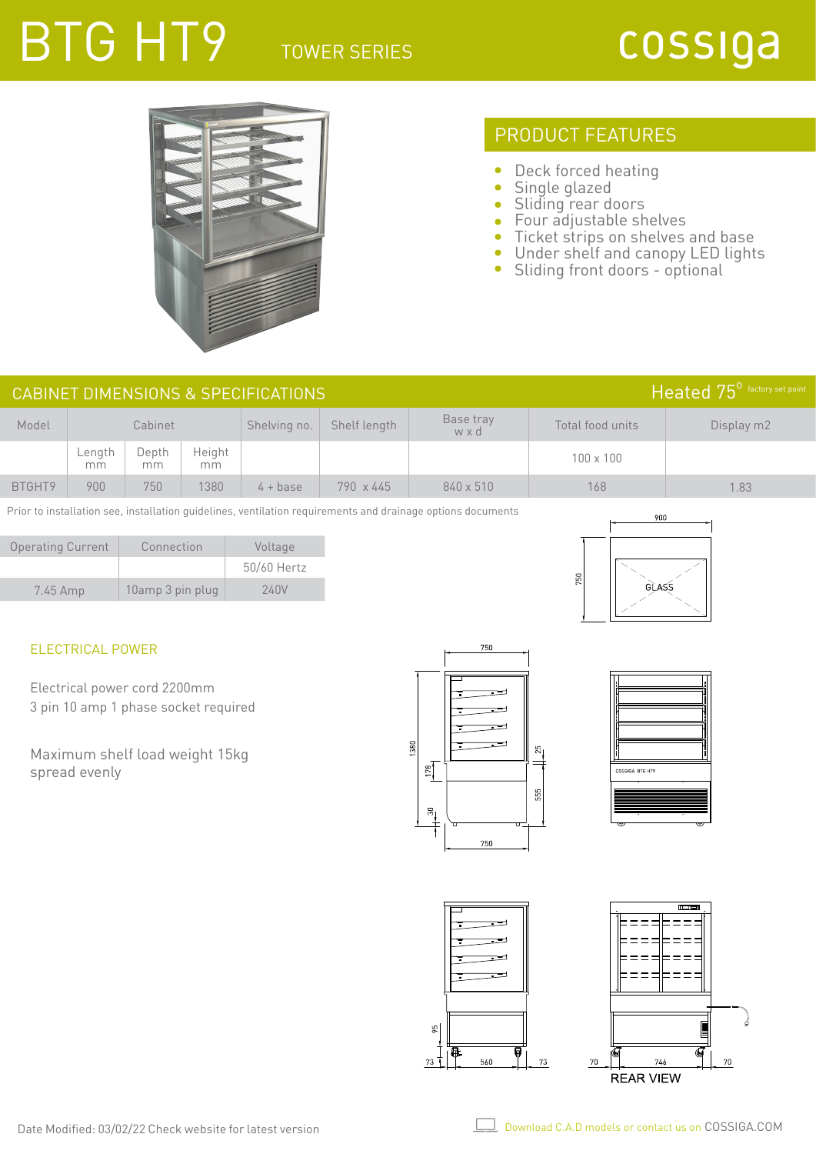## TOWER SERIES BTG HT9



### PRODUCT FEATURES

- $\bullet$ Deck forced heating
- $\bullet$ Single glazed
- $\bullet$ Sliding rear doors
- Four adjustable shelves  $\bullet$
- Ticket strips on shelves and base  $\bullet$
- $\bullet$ Under shelf and canopy LED lights
- $\bullet$ Sliding front doors - optional

| Heated 75 <sup>°</sup> factory set point<br>CABINET DIMENSIONS & SPECIFICATIONS |                 |             |              |              |                  |                  |                  |            |
|---------------------------------------------------------------------------------|-----------------|-------------|--------------|--------------|------------------|------------------|------------------|------------|
| Model                                                                           | Cabinet         |             |              | Shelving no. | Shelf length     | Base tray<br>wxd | Total food units | Display m2 |
|                                                                                 | $L$ ength<br>mm | Depth<br>mm | Height<br>mm |              |                  |                  | $100 \times 100$ |            |
| BTGHT9                                                                          | 900             | 750         | 1380         | $4 + base$   | $790 \times 445$ | 840 x 510        | 168              | .83        |

Prior to installation see, installation guidelines, ventilation requirements and drainage options documents

| <b>Operating Current</b> | Connection       | Voltage     |  |
|--------------------------|------------------|-------------|--|
|                          |                  | 50/60 Hertz |  |
| $7.45$ Amp               | 10amp 3 pin plug | 240V        |  |



#### ELECTRICAL POWER

Electrical power cord 2200mm 3 pin 10 amp 1 phase socket required

Maximum shelf load weight 15kg spread evenly







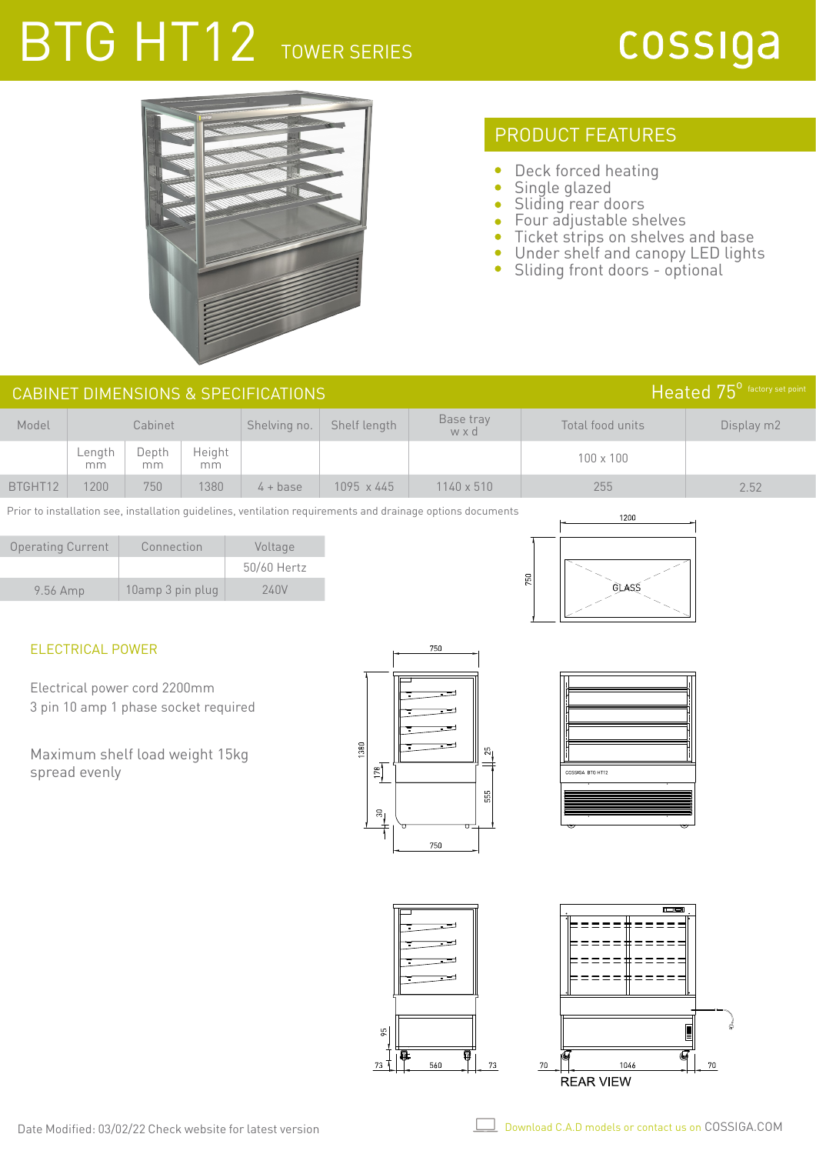## BTG HT12 TOWER SERIES



## PRODUCT FEATURES

- Deck forced heating  $\bullet$
- $\bullet$ Single glazed
- Sliding rear doors
- Four adjustable shelves
- Ticket strips on shelves and base  $\bullet$
- Under shelf and canopy LED lights  $\bullet$
- $\bullet$ Sliding front doors - optional

| Heated 75 <sup>°</sup> factory set point<br>CABINET DIMENSIONS & SPECIFICATIONS |              |             |              |              |              |                   |                  |            |
|---------------------------------------------------------------------------------|--------------|-------------|--------------|--------------|--------------|-------------------|------------------|------------|
| Model                                                                           | Cabinet      |             |              | Shelving no. | Shelf length | Base tray<br>wxd  | Total food units | Display m2 |
|                                                                                 | ∟ength<br>mm | Depth<br>mm | Height<br>mm |              |              |                   | $100 \times 100$ |            |
| BTGHT12                                                                         | 200          | 750         | 1380         | $4 + base$   | 1095 x 445   | $1140 \times 510$ | 255              | 2.52       |

Prior to installation see, installation guidelines, ventilation requirements and drainage options documents

| <b>Operating Current</b> | Connection       | Voltage     |  |
|--------------------------|------------------|-------------|--|
|                          |                  | 50/60 Hertz |  |
| $9.56$ Amp               | 10amp 3 pin plug | 240V        |  |



### ELECTRICAL POWER

Electrical power cord 2200mm 3 pin 10 amp 1 phase socket required

Maximum shelf load weight 15kg spread evenly



ξŚ,

73